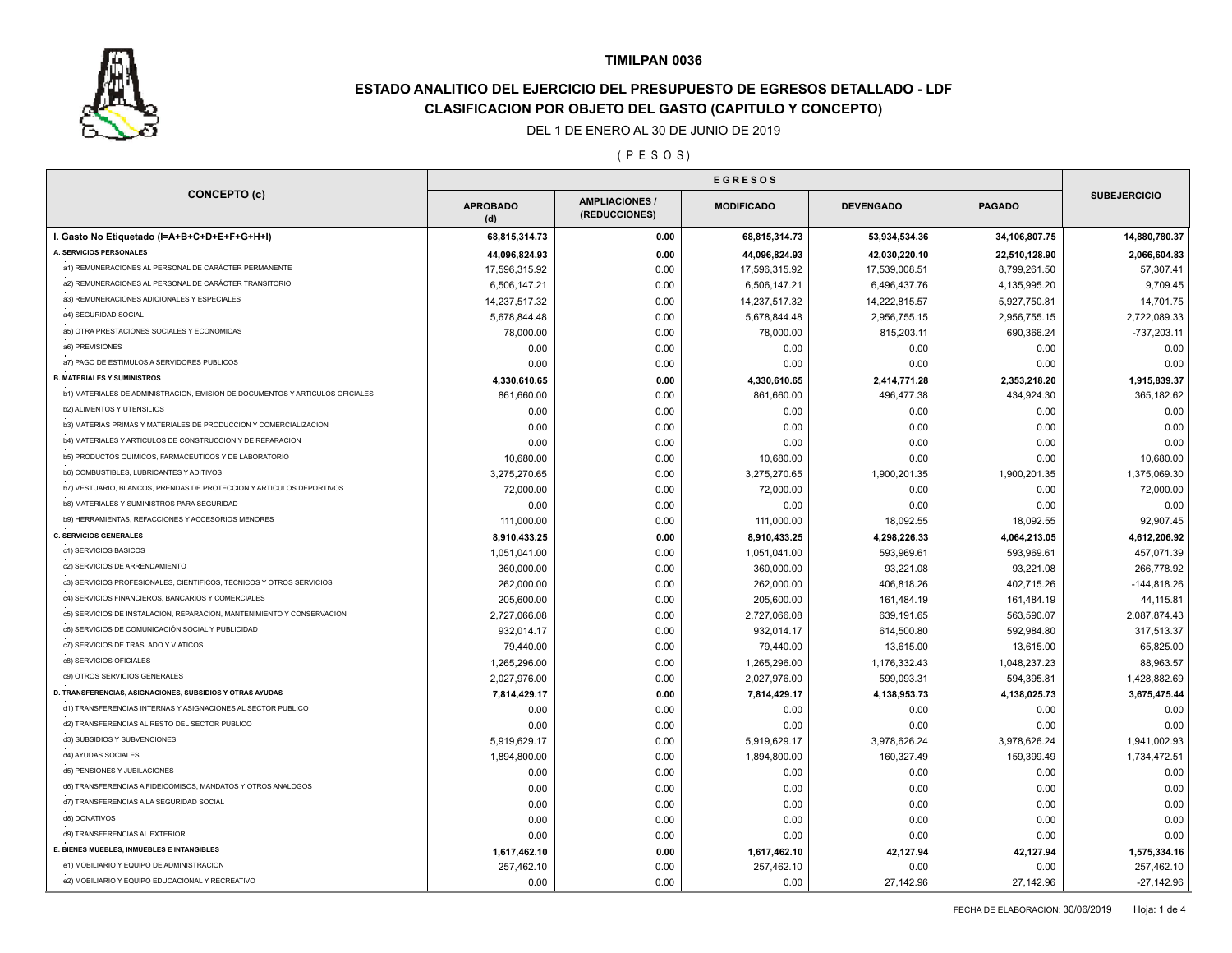

# **ESTADO ANALITICO DEL EJERCICIO DEL PRESUPUESTO DE EGRESOS DETALLADO - LDF CLASIFICACION POR OBJETO DEL GASTO (CAPITULO Y CONCEPTO)**

### DEL 1 DE ENERO AL 30 DE JUNIO DE 2019

( P E S O S )

|                                                                               | <b>EGRESOS</b>         |                                        |                   |                  |               |                     |
|-------------------------------------------------------------------------------|------------------------|----------------------------------------|-------------------|------------------|---------------|---------------------|
| <b>CONCEPTO (c)</b>                                                           | <b>APROBADO</b><br>(d) | <b>AMPLIACIONES /</b><br>(REDUCCIONES) | <b>MODIFICADO</b> | <b>DEVENGADO</b> | <b>PAGADO</b> | <b>SUBEJERCICIO</b> |
| I. Gasto No Etiquetado (I=A+B+C+D+E+F+G+H+I)                                  | 68,815,314.73          | 0.00                                   | 68,815,314.73     | 53,934,534.36    | 34,106,807.75 | 14,880,780.37       |
| A. SERVICIOS PERSONALES                                                       | 44,096,824.93          | 0.00                                   | 44,096,824.93     | 42,030,220.10    | 22,510,128.90 | 2,066,604.83        |
| a1) REMUNERACIONES AL PERSONAL DE CARÁCTER PERMANENTE                         | 17,596,315.92          | 0.00                                   | 17,596,315.92     | 17,539,008.51    | 8,799,261.50  | 57,307.41           |
| a2) REMUNERACIONES AL PERSONAL DE CARÁCTER TRANSITORIO                        | 6,506,147.21           | 0.00                                   | 6,506,147.21      | 6,496,437.76     | 4,135,995.20  | 9,709.45            |
| a3) REMUNERACIONES ADICIONALES Y ESPECIALES                                   | 14,237,517.32          | 0.00                                   | 14,237,517.32     | 14,222,815.57    | 5,927,750.81  | 14,701.75           |
| a4) SEGURIDAD SOCIAL                                                          | 5,678,844.48           | 0.00                                   | 5,678,844.48      | 2,956,755.15     | 2,956,755.15  | 2,722,089.33        |
| a5) OTRA PRESTACIONES SOCIALES Y ECONOMICAS                                   | 78,000.00              | 0.00                                   | 78,000.00         | 815,203.11       | 690,366.24    | $-737,203.11$       |
| a6) PREVISIONES                                                               | 0.00                   | 0.00                                   | 0.00              | 0.00             | 0.00          | 0.00                |
| a7) PAGO DE ESTIMULOS A SERVIDORES PUBLICOS                                   | 0.00                   | 0.00                                   | 0.00              | 0.00             | 0.00          | 0.00                |
| <b>B. MATERIALES Y SUMINISTROS</b>                                            | 4,330,610.65           | 0.00                                   | 4,330,610.65      | 2,414,771.28     | 2,353,218.20  | 1,915,839.37        |
| b1) MATERIALES DE ADMINISTRACION, EMISION DE DOCUMENTOS Y ARTICULOS OFICIALES | 861,660.00             | 0.00                                   | 861,660.00        | 496,477.38       | 434,924.30    | 365,182.62          |
| <b>b2) ALIMENTOS Y UTENSILIOS</b>                                             | 0.00                   | 0.00                                   | 0.00              | 0.00             | 0.00          | 0.00                |
| b3) MATERIAS PRIMAS Y MATERIALES DE PRODUCCION Y COMERCIALIZACION             | 0.00                   | 0.00                                   | 0.00              | 0.00             | 0.00          | 0.00                |
| b4) MATERIALES Y ARTICULOS DE CONSTRUCCION Y DE REPARACION                    | 0.00                   | 0.00                                   | 0.00              | 0.00             | 0.00          | 0.00                |
| b5) PRODUCTOS QUIMICOS, FARMACEUTICOS Y DE LABORATORIO                        | 10,680.00              | 0.00                                   | 10,680.00         | 0.00             | 0.00          | 10,680.00           |
| <b>b6) COMBUSTIBLES, LUBRICANTES Y ADITIVOS</b>                               | 3,275,270.65           | 0.00                                   | 3,275,270.65      | 1,900,201.35     | 1,900,201.35  | 1,375,069.30        |
| b7) VESTUARIO, BLANCOS, PRENDAS DE PROTECCION Y ARTICULOS DEPORTIVOS          | 72,000.00              | 0.00                                   | 72,000.00         | 0.00             | 0.00          | 72,000.00           |
| <b>b8) MATERIALES Y SUMINISTROS PARA SEGURIDAD</b>                            | 0.00                   | 0.00                                   | 0.00              | 0.00             | 0.00          | 0.00                |
| b9) HERRAMIENTAS, REFACCIONES Y ACCESORIOS MENORES                            | 111,000.00             | 0.00                                   | 111,000.00        | 18,092.55        | 18,092.55     | 92,907.45           |
| <b>C. SERVICIOS GENERALES</b>                                                 | 8,910,433.25           | 0.00                                   | 8,910,433.25      | 4,298,226.33     | 4,064,213.05  | 4,612,206.92        |
| c1) SERVICIOS BASICOS                                                         | 1,051,041.00           | 0.00                                   | 1,051,041.00      | 593,969.61       | 593,969.61    | 457,071.39          |
| c2) SERVICIOS DE ARRENDAMIENTO                                                | 360,000.00             | 0.00                                   | 360,000.00        | 93,221.08        | 93,221.08     | 266,778.92          |
| c3) SERVICIOS PROFESIONALES, CIENTIFICOS, TECNICOS Y OTROS SERVICIOS          | 262,000.00             | 0.00                                   | 262,000.00        | 406,818.26       | 402,715.26    | $-144,818.26$       |
| c4) SERVICIOS FINANCIEROS, BANCARIOS Y COMERCIALES                            | 205.600.00             | 0.00                                   | 205,600.00        | 161,484.19       | 161,484.19    | 44,115.81           |
| c5) SERVICIOS DE INSTALACION, REPARACION, MANTENIMIENTO Y CONSERVACION        | 2,727,066.08           | 0.00                                   | 2,727,066.08      | 639,191.65       | 563,590.07    | 2,087,874.43        |
| c6) SERVICIOS DE COMUNICACIÓN SOCIAL Y PUBLICIDAD                             | 932,014.17             | 0.00                                   | 932,014.17        | 614,500.80       | 592,984.80    | 317,513.37          |
| c7) SERVICIOS DE TRASLADO Y VIATICOS                                          | 79,440.00              | 0.00                                   | 79,440.00         | 13,615.00        | 13,615.00     | 65,825.00           |
| c8) SERVICIOS OFICIALES                                                       | 1,265,296.00           | 0.00                                   | 1,265,296.00      | 1,176,332.43     | 1,048,237.23  | 88,963.57           |
| c9) OTROS SERVICIOS GENERALES                                                 | 2,027,976.00           | 0.00                                   | 2,027,976.00      | 599,093.31       | 594,395.81    | 1,428,882.69        |
| D. TRANSFERENCIAS, ASIGNACIONES, SUBSIDIOS Y OTRAS AYUDAS                     | 7,814,429.17           | 0.00                                   | 7,814,429.17      | 4,138,953.73     | 4,138,025.73  | 3,675,475.44        |
| d1) TRANSFERENCIAS INTERNAS Y ASIGNACIONES AL SECTOR PUBLICO                  | 0.00                   | 0.00                                   | 0.00              | 0.00             | 0.00          | 0.00                |
| d2) TRANSFERENCIAS AL RESTO DEL SECTOR PUBLICO                                | 0.00                   | 0.00                                   | 0.00              | 0.00             | 0.00          | 0.00                |
| d3) SUBSIDIOS Y SUBVENCIONES                                                  | 5,919,629.17           | 0.00                                   | 5,919,629.17      | 3,978,626.24     | 3,978,626.24  | 1,941,002.93        |
| d4) AYUDAS SOCIALES                                                           | 1,894,800.00           | 0.00                                   | 1,894,800.00      | 160,327.49       | 159,399.49    | 1,734,472.51        |
| d5) PENSIONES Y JUBILACIONES                                                  | 0.00                   | 0.00                                   | 0.00              | 0.00             | 0.00          | 0.00                |
| d6) TRANSFERENCIAS A FIDEICOMISOS, MANDATOS Y OTROS ANALOGOS                  | 0.00                   | 0.00                                   | 0.00              | 0.00             | 0.00          | 0.00                |
| d7) TRANSFERENCIAS A LA SEGURIDAD SOCIAL                                      | 0.00                   | 0.00                                   | 0.00              | 0.00             | 0.00          | 0.00                |
| d8) DONATIVOS                                                                 | 0.00                   | 0.00                                   | 0.00              | 0.00             | 0.00          | 0.00                |
| d9) TRANSFERENCIAS AL EXTERIOR                                                | 0.00                   | 0.00                                   | 0.00              | 0.00             | 0.00          | 0.00                |
| E. BIENES MUEBLES, INMUEBLES E INTANGIBLES                                    | 1,617,462.10           | 0.00                                   | 1,617,462.10      | 42,127.94        | 42,127.94     | 1,575,334.16        |
|                                                                               |                        |                                        |                   |                  |               |                     |
| e1) MOBILIARIO Y EQUIPO DE ADMINISTRACION                                     | 257,462.10             | 0.00                                   | 257,462.10        | 0.00             | 0.00          | 257,462.10          |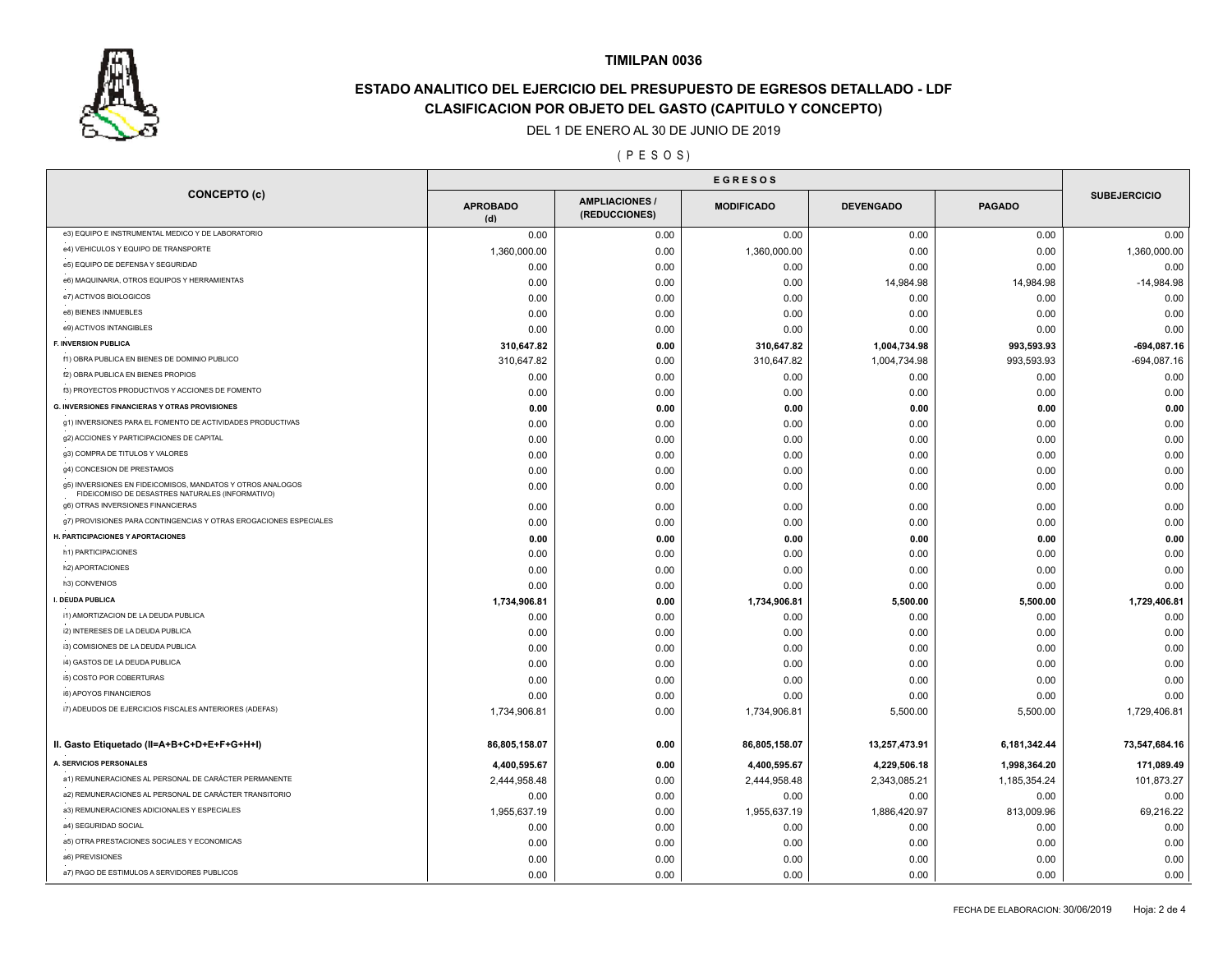

# **ESTADO ANALITICO DEL EJERCICIO DEL PRESUPUESTO DE EGRESOS DETALLADO - LDF CLASIFICACION POR OBJETO DEL GASTO (CAPITULO Y CONCEPTO)**

### DEL 1 DE ENERO AL 30 DE JUNIO DE 2019

## ( P E S O S )

|                                                                                                                | <b>EGRESOS</b>         |                                        |                   |                  |               |                     |
|----------------------------------------------------------------------------------------------------------------|------------------------|----------------------------------------|-------------------|------------------|---------------|---------------------|
| <b>CONCEPTO (c)</b>                                                                                            | <b>APROBADO</b><br>(d) | <b>AMPLIACIONES /</b><br>(REDUCCIONES) | <b>MODIFICADO</b> | <b>DEVENGADO</b> | <b>PAGADO</b> | <b>SUBEJERCICIO</b> |
| e3) EQUIPO E INSTRUMENTAL MEDICO Y DE LABORATORIO                                                              | 0.00                   | 0.00                                   | 0.00              | 0.00             | 0.00          | 0.00                |
| e4) VEHICULOS Y EQUIPO DE TRANSPORTE                                                                           | 1,360,000.00           | 0.00                                   | 1,360,000.00      | 0.00             | 0.00          | 1,360,000.00        |
| e5) EQUIPO DE DEFENSA Y SEGURIDAD                                                                              | 0.00                   | 0.00                                   | 0.00              | 0.00             | 0.00          | 0.00                |
| e6) MAQUINARIA, OTROS EQUIPOS Y HERRAMIENTAS                                                                   | 0.00                   | 0.00                                   | 0.00              | 14,984.98        | 14,984.98     | $-14,984.98$        |
| e7) ACTIVOS BIOLOGICOS                                                                                         | 0.00                   | 0.00                                   | 0.00              | 0.00             | 0.00          | 0.00                |
| e8) BIENES INMUEBLES                                                                                           | 0.00                   | 0.00                                   | 0.00              | 0.00             | 0.00          | 0.00                |
| e9) ACTIVOS INTANGIBLES                                                                                        | 0.00                   | 0.00                                   | 0.00              | 0.00             | 0.00          | 0.00                |
| F. INVERSION PUBLICA                                                                                           | 310,647.82             | 0.00                                   | 310,647.82        | 1,004,734.98     | 993,593.93    | $-694,087.16$       |
| f1) OBRA PUBLICA EN BIENES DE DOMINIO PUBLICO                                                                  | 310,647.82             | 0.00                                   | 310,647.82        | 1,004,734.98     | 993,593.93    | $-694,087.16$       |
| f2) OBRA PUBLICA EN BIENES PROPIOS                                                                             | 0.00                   | 0.00                                   | 0.00              | 0.00             | 0.00          | 0.00                |
| f3) PROYECTOS PRODUCTIVOS Y ACCIONES DE FOMENTO                                                                | 0.00                   | 0.00                                   | 0.00              | 0.00             | 0.00          | 0.00                |
| <b>G. INVERSIONES FINANCIERAS Y OTRAS PROVISIONES</b>                                                          | 0.00                   | 0.00                                   | 0.00              | 0.00             | 0.00          | 0.00                |
| g1) INVERSIONES PARA EL FOMENTO DE ACTIVIDADES PRODUCTIVAS                                                     | 0.00                   | 0.00                                   | 0.00              | 0.00             | 0.00          | 0.00                |
| g2) ACCIONES Y PARTICIPACIONES DE CAPITAL                                                                      | 0.00                   | 0.00                                   | 0.00              | 0.00             | 0.00          | 0.00                |
| g3) COMPRA DE TITULOS Y VALORES                                                                                | 0.00                   | 0.00                                   | 0.00              | 0.00             | 0.00          | 0.00                |
| g4) CONCESION DE PRESTAMOS                                                                                     | 0.00                   | 0.00                                   | 0.00              | 0.00             | 0.00          | 0.00                |
| g5) INVERSIONES EN FIDEICOMISOS, MANDATOS Y OTROS ANALOGOS<br>FIDEICOMISO DE DESASTRES NATURALES (INFORMATIVO) | 0.00                   | 0.00                                   | 0.00              | 0.00             | 0.00          | 0.00                |
| g6) OTRAS INVERSIONES FINANCIERAS                                                                              | 0.00                   | 0.00                                   | 0.00              | 0.00             | 0.00          | 0.00                |
| g7) PROVISIONES PARA CONTINGENCIAS Y OTRAS EROGACIONES ESPECIALES                                              | 0.00                   | 0.00                                   | 0.00              | 0.00             | 0.00          | 0.00                |
| H. PARTICIPACIONES Y APORTACIONES                                                                              | 0.00                   | 0.00                                   | 0.00              | 0.00             | 0.00          | 0.00                |
| h1) PARTICIPACIONES                                                                                            | 0.00                   | 0.00                                   | 0.00              | 0.00             | 0.00          | 0.00                |
| h2) APORTACIONES                                                                                               | 0.00                   | 0.00                                   | 0.00              | 0.00             | 0.00          | 0.00                |
| h3) CONVENIOS                                                                                                  | 0.00                   | 0.00                                   | 0.00              | 0.00             | 0.00          | 0.00                |
| I. DEUDA PUBLICA                                                                                               | 1,734,906.81           | 0.00                                   | 1,734,906.81      | 5,500.00         | 5,500.00      | 1,729,406.81        |
| i1) AMORTIZACION DE LA DEUDA PUBLICA                                                                           | 0.00                   | 0.00                                   | 0.00              | 0.00             | 0.00          | 0.00                |
| i2) INTERESES DE LA DEUDA PUBLICA                                                                              | 0.00                   | 0.00                                   | 0.00              | 0.00             | 0.00          | 0.00                |
| i3) COMISIONES DE LA DEUDA PUBLICA                                                                             | 0.00                   | 0.00                                   | 0.00              | 0.00             | 0.00          | 0.00                |
| i4) GASTOS DE LA DEUDA PUBLICA                                                                                 | 0.00                   | 0.00                                   | 0.00              | 0.00             | 0.00          | 0.00                |
| i5) COSTO POR COBERTURAS                                                                                       | 0.00                   | 0.00                                   | 0.00              | 0.00             | 0.00          | 0.00                |
| i6) APOYOS FINANCIEROS                                                                                         | 0.00                   | 0.00                                   | 0.00              | 0.00             | 0.00          | 0.00                |
| i7) ADEUDOS DE EJERCICIOS FISCALES ANTERIORES (ADEFAS)                                                         | 1,734,906.81           | 0.00                                   | 1,734,906.81      | 5,500.00         | 5,500.00      | 1,729,406.81        |
| II. Gasto Etiquetado (II=A+B+C+D+E+F+G+H+I)                                                                    | 86,805,158.07          | 0.00                                   | 86,805,158.07     | 13,257,473.91    | 6,181,342.44  | 73,547,684.16       |
| A. SERVICIOS PERSONALES                                                                                        | 4,400,595.67           | 0.00                                   | 4,400,595.67      | 4,229,506.18     | 1,998,364.20  | 171,089.49          |
| a1) REMUNERACIONES AL PERSONAL DE CARÁCTER PERMANENTE                                                          | 2,444,958.48           | 0.00                                   | 2,444,958.48      | 2,343,085.21     | 1,185,354.24  | 101,873.27          |
| a2) REMUNERACIONES AL PERSONAL DE CARÁCTER TRANSITORIO                                                         | 0.00                   | 0.00                                   | 0.00              | 0.00             | 0.00          | 0.00                |
| a3) REMUNERACIONES ADICIONALES Y ESPECIALES                                                                    | 1,955,637.19           | 0.00                                   | 1,955,637.19      | 1,886,420.97     | 813,009.96    | 69,216.22           |
| a4) SEGURIDAD SOCIAL                                                                                           | 0.00                   | 0.00                                   | 0.00              | 0.00             | 0.00          | 0.00                |
| a5) OTRA PRESTACIONES SOCIALES Y ECONOMICAS                                                                    | 0.00                   | 0.00                                   | 0.00              | 0.00             | 0.00          | 0.00                |
| a6) PREVISIONES                                                                                                | 0.00                   | 0.00                                   | 0.00              | 0.00             | 0.00          | 0.00                |
| a7) PAGO DE ESTIMULOS A SERVIDORES PUBLICOS                                                                    | 0.00                   | 0.00                                   | 0.00              | 0.00             | 0.00          | 0.00                |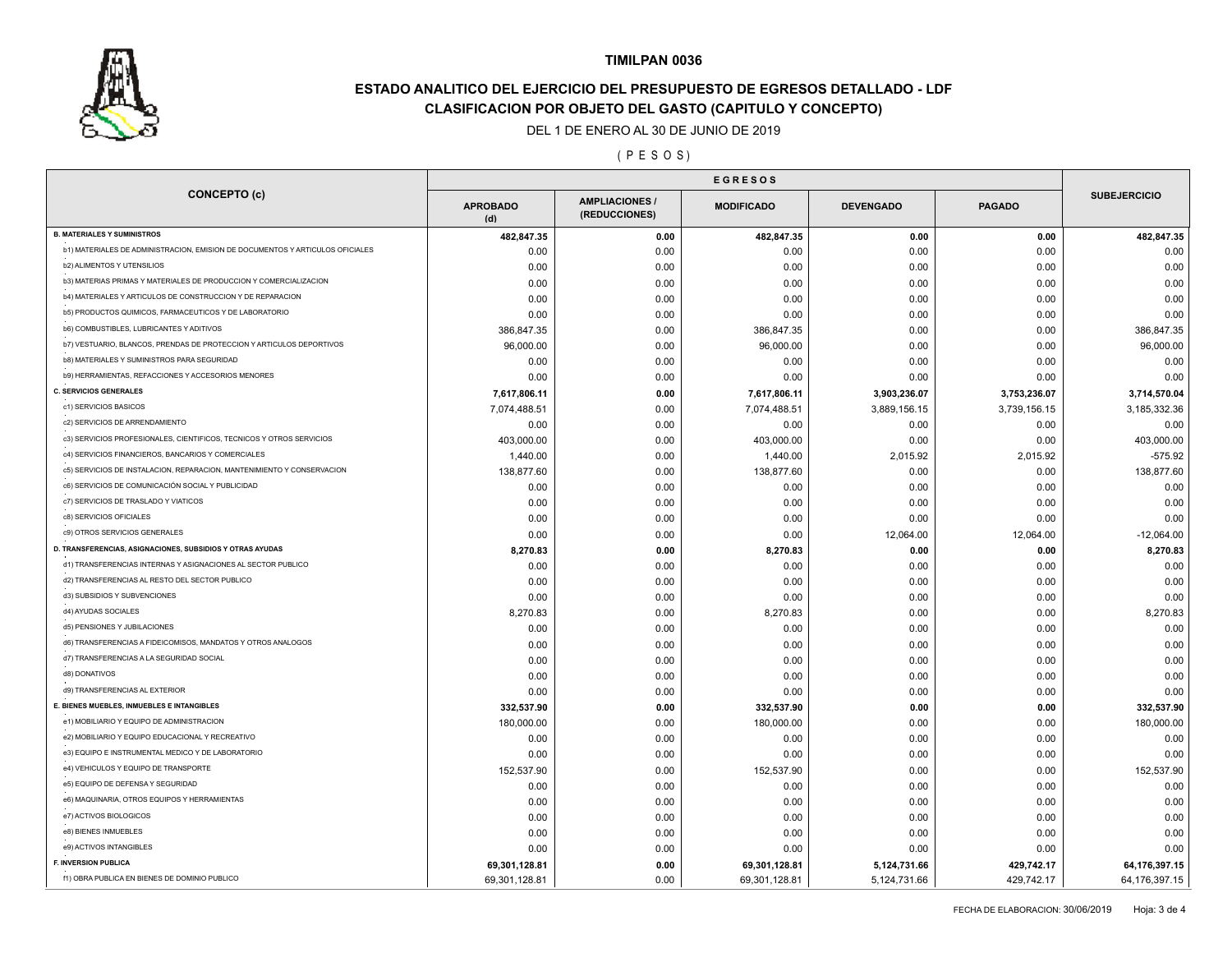

# **ESTADO ANALITICO DEL EJERCICIO DEL PRESUPUESTO DE EGRESOS DETALLADO - LDF CLASIFICACION POR OBJETO DEL GASTO (CAPITULO Y CONCEPTO)**

### DEL 1 DE ENERO AL 30 DE JUNIO DE 2019

( P E S O S )

| <b>CONCEPTO (c)</b>                                                           | <b>APROBADO</b><br>(d) | <b>AMPLIACIONES</b><br>(REDUCCIONES) | <b>MODIFICADO</b> | <b>DEVENGADO</b> | <b>PAGADO</b> | <b>SUBEJERCICIO</b> |
|-------------------------------------------------------------------------------|------------------------|--------------------------------------|-------------------|------------------|---------------|---------------------|
| <b>B. MATERIALES Y SUMINISTROS</b>                                            | 482,847.35             | 0.00                                 | 482,847.35        | 0.00             | 0.00          | 482,847.35          |
| b1) MATERIALES DE ADMINISTRACION, EMISION DE DOCUMENTOS Y ARTICULOS OFICIALES | 0.00                   | 0.00                                 | 0.00              | 0.00             | 0.00          | 0.00                |
| b2) ALIMENTOS Y UTENSILIOS                                                    | 0.00                   | 0.00                                 | 0.00              | 0.00             | 0.00          | 0.00                |
| b3) MATERIAS PRIMAS Y MATERIALES DE PRODUCCION Y COMERCIALIZACION             | 0.00                   | 0.00                                 | 0.00              | 0.00             | 0.00          | 0.00                |
| b4) MATERIALES Y ARTICULOS DE CONSTRUCCION Y DE REPARACION                    | 0.00                   | 0.00                                 | 0.00              | 0.00             | 0.00          | 0.00                |
| b5) PRODUCTOS QUIMICOS, FARMACEUTICOS Y DE LABORATORIO                        | 0.00                   | 0.00                                 | 0.00              | 0.00             | 0.00          | 0.00                |
| b6) COMBUSTIBLES, LUBRICANTES Y ADITIVOS                                      | 386,847.35             | 0.00                                 | 386,847.35        | 0.00             | 0.00          | 386,847.35          |
| b7) VESTUARIO, BLANCOS, PRENDAS DE PROTECCION Y ARTICULOS DEPORTIVOS          | 96,000.00              | 0.00                                 | 96,000.00         | 0.00             | 0.00          | 96,000.00           |
| b8) MATERIALES Y SUMINISTROS PARA SEGURIDAD                                   | 0.00                   | 0.00                                 | 0.00              | 0.00             | 0.00          | 0.00                |
| b9) HERRAMIENTAS, REFACCIONES Y ACCESORIOS MENORES                            | 0.00                   | 0.00                                 | 0.00              | 0.00             | 0.00          | 0.00                |
| <b>C. SERVICIOS GENERALES</b>                                                 | 7,617,806.11           | 0.00                                 | 7,617,806.11      | 3,903,236.07     | 3,753,236.07  | 3,714,570.04        |
| c1) SERVICIOS BASICOS                                                         | 7,074,488.51           | 0.00                                 | 7,074,488.51      | 3,889,156.15     | 3,739,156.15  | 3,185,332.36        |
| c2) SERVICIOS DE ARRENDAMIENTO                                                | 0.00                   | 0.00                                 | 0.00              | 0.00             | 0.00          | 0.00                |
| c3) SERVICIOS PROFESIONALES, CIENTIFICOS, TECNICOS Y OTROS SERVICIOS          | 403,000.00             | 0.00                                 | 403,000.00        | 0.00             | 0.00          | 403,000.00          |
| c4) SERVICIOS FINANCIEROS, BANCARIOS Y COMERCIALES                            | 1,440.00               | 0.00                                 | 1,440.00          | 2,015.92         | 2,015.92      | $-575.92$           |
| c5) SERVICIOS DE INSTALACION, REPARACION, MANTENIMIENTO Y CONSERVACION        | 138,877.60             | 0.00                                 | 138,877.60        | 0.00             | 0.00          | 138,877.60          |
| c6) SERVICIOS DE COMUNICACIÓN SOCIAL Y PUBLICIDAD                             | 0.00                   | 0.00                                 | 0.00              | 0.00             | 0.00          | 0.00                |
| c7) SERVICIOS DE TRASLADO Y VIATICOS                                          | 0.00                   | 0.00                                 | 0.00              | 0.00             | 0.00          | 0.00                |
| c8) SERVICIOS OFICIALES                                                       | 0.00                   | 0.00                                 | 0.00              | 0.00             | 0.00          | 0.00                |
| c9) OTROS SERVICIOS GENERALES                                                 | 0.00                   | 0.00                                 | 0.00              | 12,064.00        | 12,064.00     | $-12,064.00$        |
| D. TRANSFERENCIAS, ASIGNACIONES, SUBSIDIOS Y OTRAS AYUDAS                     | 8,270.83               | 0.00                                 | 8,270.83          | 0.00             | 0.00          | 8,270.83            |
| d1) TRANSFERENCIAS INTERNAS Y ASIGNACIONES AL SECTOR PUBLICO                  | 0.00                   | 0.00                                 | 0.00              | 0.00             | 0.00          | 0.00                |
| d2) TRANSFERENCIAS AL RESTO DEL SECTOR PUBLICO                                | 0.00                   | 0.00                                 | 0.00              | 0.00             | 0.00          | 0.00                |
| d3) SUBSIDIOS Y SUBVENCIONES                                                  | 0.00                   | 0.00                                 | 0.00              | 0.00             | 0.00          | 0.00                |
| d4) AYUDAS SOCIALES                                                           | 8,270.83               | 0.00                                 | 8,270.83          | 0.00             | 0.00          | 8,270.83            |
| d5) PENSIONES Y JUBILACIONES                                                  | 0.00                   | 0.00                                 | 0.00              | 0.00             | 0.00          | 0.00                |
| d6) TRANSFERENCIAS A FIDEICOMISOS, MANDATOS Y OTROS ANALOGOS                  | 0.00                   | 0.00                                 | 0.00              | 0.00             | 0.00          | 0.00                |
| d7) TRANSFERENCIAS A LA SEGURIDAD SOCIAL                                      |                        |                                      |                   |                  |               |                     |
| d8) DONATIVOS                                                                 | 0.00                   | 0.00                                 | 0.00              | 0.00             | 0.00<br>0.00  | 0.00<br>0.00        |
| d9) TRANSFERENCIAS AL EXTERIOR                                                | 0.00                   | 0.00                                 | 0.00              | 0.00             |               |                     |
| E. BIENES MUEBLES, INMUEBLES E INTANGIBLES                                    | 0.00                   | 0.00                                 | 0.00              | 0.00             | 0.00          | 0.00                |
| e1) MOBILIARIO Y EQUIPO DE ADMINISTRACION                                     | 332,537.90             | 0.00                                 | 332,537.90        | 0.00             | 0.00          | 332,537.90          |
| e2) MOBILIARIO Y EQUIPO EDUCACIONAL Y RECREATIVO                              | 180,000.00             | 0.00                                 | 180,000.00        | 0.00             | 0.00          | 180,000.00          |
|                                                                               | 0.00                   | 0.00                                 | 0.00              | 0.00             | 0.00          | 0.00                |
| e3) EQUIPO E INSTRUMENTAL MEDICO Y DE LABORATORIO                             | 0.00                   | 0.00                                 | 0.00              | 0.00             | 0.00          | 0.00                |
| e4) VEHICULOS Y EQUIPO DE TRANSPORTE                                          | 152,537.90             | 0.00                                 | 152,537.90        | 0.00             | 0.00          | 152,537.90          |
| e5) EQUIPO DE DEFENSA Y SEGURIDAD                                             | 0.00                   | 0.00                                 | 0.00              | 0.00             | 0.00          | 0.00                |
| e6) MAQUINARIA, OTROS EQUIPOS Y HERRAMIENTAS                                  | 0.00                   | 0.00                                 | 0.00              | 0.00             | 0.00          | 0.00                |
| e7) ACTIVOS BIOLOGICOS                                                        | 0.00                   | 0.00                                 | 0.00              | 0.00             | 0.00          | 0.00                |
| e8) BIENES INMUEBLES                                                          | 0.00                   | 0.00                                 | 0.00              | 0.00             | 0.00          | 0.00                |
| e9) ACTIVOS INTANGIBLES                                                       | 0.00                   | 0.00                                 | 0.00              | 0.00             | 0.00          | 0.00                |
| F. INVERSION PUBLICA                                                          | 69,301,128.81          | 0.00                                 | 69,301,128.81     | 5,124,731.66     | 429,742.17    | 64, 176, 397. 15    |
| f1) OBRA PUBLICA EN BIENES DE DOMINIO PUBLICO                                 | 69,301,128.81          | 0.00                                 | 69,301,128.81     | 5,124,731.66     | 429,742.17    | 64,176,397.15       |